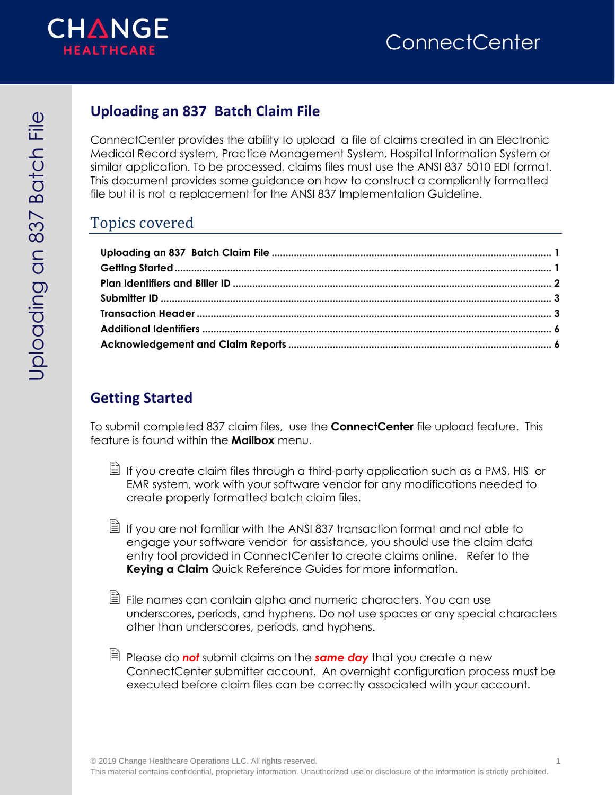

# <span id="page-0-0"></span>**Uploading an 837 Batch Claim File**

ConnectCenter provides the ability to upload a file of claims created in an Electronic Medical Record system, Practice Management System, Hospital Information System or similar application. To be processed, claims files must use the ANSI 837 5010 EDI format. This document provides some guidance on how to construct a compliantly formatted file but it is not a replacement for the ANSI 837 Implementation Guideline.

### Topics covered

## <span id="page-0-1"></span>**Getting Started**

To submit completed 837 claim files, use the **ConnectCenter** file upload feature. This feature is found within the **Mailbox** menu.

 $\Box$  If you create claim files through a third-party application such as a PMS, HIS or EMR system, work with your software vendor for any modifications needed to create properly formatted batch claim files.

 $\Box$  If you are not familiar with the ANSI 837 transaction format and not able to engage your software vendor for assistance, you should use the claim data entry tool provided in ConnectCenter to create claims online. Refer to the **Keying a Claim** Quick Reference Guides for more information.

- File names can contain alpha and numeric characters. You can use underscores, periods, and hyphens. Do not use spaces or any special characters other than underscores, periods, and hyphens.
- Please do *not* submit claims on the *same day* that you create a new ConnectCenter submitter account. An overnight configuration process must be executed before claim files can be correctly associated with your account.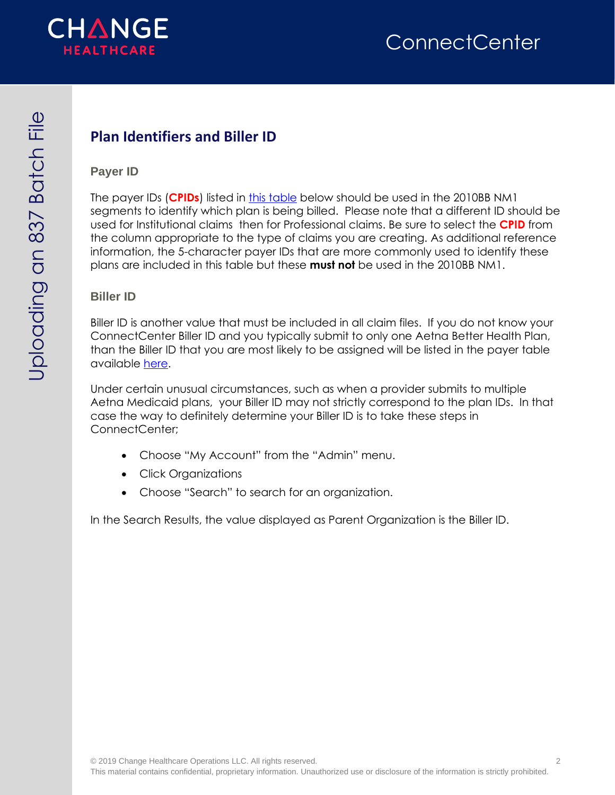

# <span id="page-1-0"></span>**Plan Identifiers and Biller ID**

#### **Payer ID**

The payer IDs (**CPIDs**) listed in [this table](https://office.emdeon.com/vendorfiles/ABHPayerList.pdf) below should be used in the 2010BB NM1 segments to identify which plan is being billed. Please note that a different ID should be used for Institutional claims then for Professional claims. Be sure to select the **CPID** from the column appropriate to the type of claims you are creating. As additional reference information, the 5-character payer IDs that are more commonly used to identify these plans are included in this table but these **must not** be used in the 2010BB NM1.

#### **Biller ID**

Biller ID is another value that must be included in all claim files. If you do not know your ConnectCenter Biller ID and you typically submit to only one Aetna Better Health Plan, than the Biller ID that you are most likely to be assigned will be listed in the payer table available [here.](https://office.emdeon.com/vendorfiles/ABHPayerList.pdf)

Under certain unusual circumstances, such as when a provider submits to multiple Aetna Medicaid plans, your Biller ID may not strictly correspond to the plan IDs. In that case the way to definitely determine your Biller ID is to take these steps in ConnectCenter;

- Choose "My Account" from the "Admin" menu.
- Click Organizations
- Choose "Search" to search for an organization.

In the Search Results, the value displayed as Parent Organization is the Biller ID.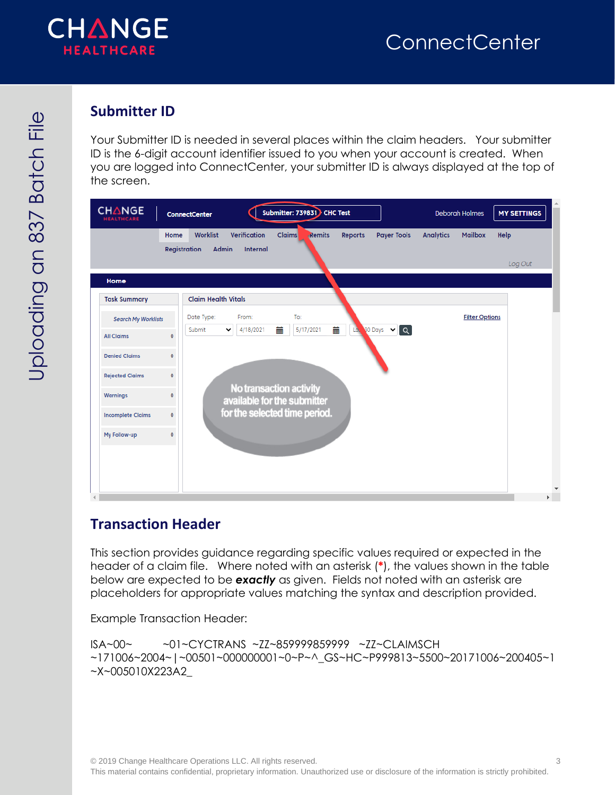

### <span id="page-2-0"></span>**Submitter ID**

Your Submitter ID is needed in several places within the claim headers. Your submitter ID is the 6-digit account identifier issued to you when your account is created. When you are logged into ConnectCenter, your submitter ID is always displayed at the top of the screen.

| <b>CHANGE</b><br><b>HEALTHCARE</b> |              | <b>ConnectCenter</b>                     |                          | Submitter: 739831 CHC Test                             |          |                    |                  | <b>Deborah Holmes</b> | <b>MY SETTINGS</b> |
|------------------------------------|--------------|------------------------------------------|--------------------------|--------------------------------------------------------|----------|--------------------|------------------|-----------------------|--------------------|
|                                    | Home         | Worklist<br><b>Registration</b><br>Admin | Verification<br>Internal | <b>Claims</b><br>Remits                                | Reports  | <b>Payer Tools</b> | <b>Analytics</b> | <b>Mailbox</b>        | Help<br>Log Out    |
| Home                               |              |                                          |                          |                                                        |          |                    |                  |                       |                    |
| <b>Task Summary</b>                |              | <b>Claim Health Vitals</b>               |                          |                                                        |          |                    |                  |                       |                    |
| <b>Search My Worklists</b>         |              | Date Type:                               | From:                    | To:                                                    |          |                    |                  | <b>Filter Options</b> |                    |
| <b>All Claims</b>                  | $\mathbf{0}$ | Submit<br>v                              | 4/18/2021                | 蘦<br>5/17/2021                                         | 蘦<br>Là. | <b>SO Days V Q</b> |                  |                       |                    |
| <b>Denied Claims</b>               | $\mathbf{0}$ |                                          |                          |                                                        |          |                    |                  |                       |                    |
| <b>Rejected Claims</b>             | $\mathbf{0}$ |                                          |                          |                                                        |          |                    |                  |                       |                    |
| <b>Warnings</b>                    | 0            |                                          |                          | No transaction activity<br>available for the submitter |          |                    |                  |                       |                    |
| <b>Incomplete Claims</b>           | $\mathbf{0}$ |                                          |                          | for the selected time period.                          |          |                    |                  |                       |                    |
| My Follow-up                       | $\mathbf{0}$ |                                          |                          |                                                        |          |                    |                  |                       |                    |
|                                    |              |                                          |                          |                                                        |          |                    |                  |                       |                    |
|                                    |              |                                          |                          |                                                        |          |                    |                  |                       |                    |
|                                    |              |                                          |                          |                                                        |          |                    |                  |                       |                    |

#### <span id="page-2-1"></span>**Transaction Header**

This section provides guidance regarding specific values required or expected in the header of a claim file. Where noted with an asterisk (**\***), the values shown in the table below are expected to be *exactly* as given. Fields not noted with an asterisk are placeholders for appropriate values matching the syntax and description provided.

Example Transaction Header:

```
ISA~00~ ~01~CYCTRANS ~ZZ~859999859999 ~ZZ~CLAIMSCH 
~171006~2004~|~00501~000000001~0~P~^_GS~HC~P999813~5500~20171006~200405~1
~X~005010X223A2_
```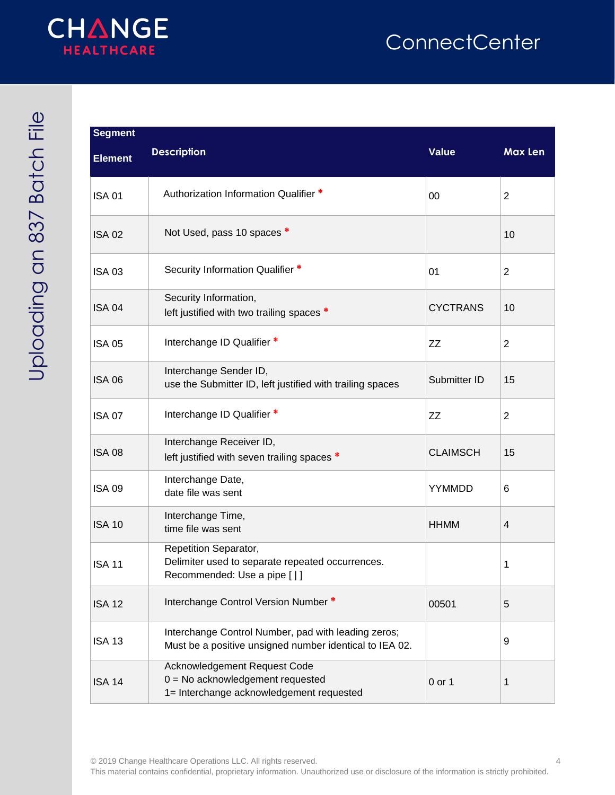# **ConnectCenter**



| <b>AC+CC+CC</b> |
|-----------------|
| <b>R27</b>      |
|                 |
| こく てくこく         |

| <b>Segment</b> |                                                                                                                |                 |                |
|----------------|----------------------------------------------------------------------------------------------------------------|-----------------|----------------|
| <b>Element</b> | <b>Description</b>                                                                                             | <b>Value</b>    | Max Len        |
| <b>ISA 01</b>  | Authorization Information Qualifier *                                                                          | 00              | $\overline{2}$ |
| <b>ISA 02</b>  | Not Used, pass 10 spaces *                                                                                     |                 | 10             |
| <b>ISA 03</b>  | Security Information Qualifier *                                                                               | 01              | $\overline{2}$ |
| <b>ISA 04</b>  | Security Information,<br>left justified with two trailing spaces *                                             | <b>CYCTRANS</b> | 10             |
| <b>ISA 05</b>  | Interchange ID Qualifier *                                                                                     | ZZ              | $\overline{2}$ |
| <b>ISA 06</b>  | Interchange Sender ID,<br>use the Submitter ID, left justified with trailing spaces                            | Submitter ID    | 15             |
| <b>ISA 07</b>  | Interchange ID Qualifier *                                                                                     | ZZ              | $\overline{2}$ |
| <b>ISA 08</b>  | Interchange Receiver ID,<br>left justified with seven trailing spaces *                                        | <b>CLAIMSCH</b> | 15             |
| <b>ISA 09</b>  | Interchange Date,<br>date file was sent                                                                        | YYMMDD          | 6              |
| <b>ISA 10</b>  | Interchange Time,<br>time file was sent                                                                        | <b>HHMM</b>     | 4              |
| <b>ISA 11</b>  | Repetition Separator,<br>Delimiter used to separate repeated occurrences.<br>Recommended: Use a pipe [   ]     |                 | 1              |
| <b>ISA 12</b>  | Interchange Control Version Number *                                                                           | 00501           | 5              |
| <b>ISA 13</b>  | Interchange Control Number, pad with leading zeros;<br>Must be a positive unsigned number identical to IEA 02. |                 | 9              |
| <b>ISA 14</b>  | Acknowledgement Request Code<br>$0 = No$ acknowledgement requested<br>1= Interchange acknowledgement requested | 0 or 1          | 1              |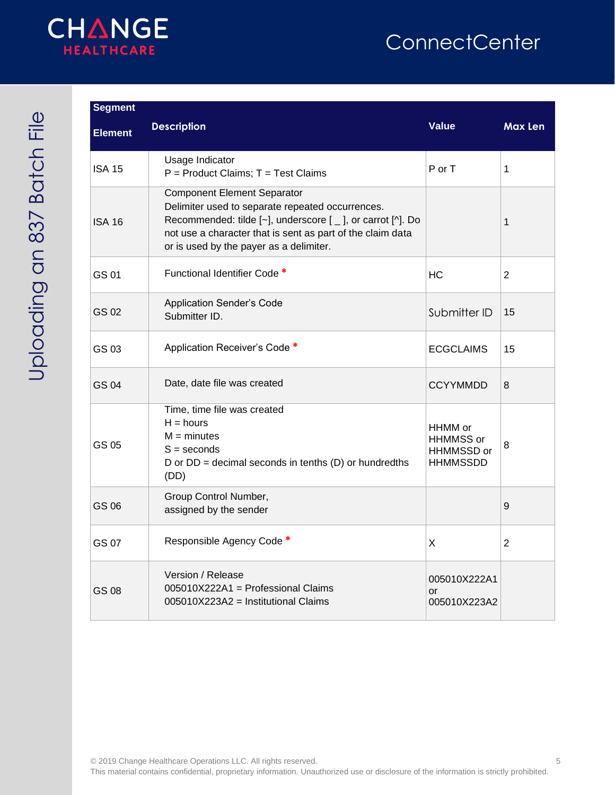

# **ConnectCenter**

| <b>Segment</b> |                                                                                                                                                                                                                                                                            |                                                       |                |
|----------------|----------------------------------------------------------------------------------------------------------------------------------------------------------------------------------------------------------------------------------------------------------------------------|-------------------------------------------------------|----------------|
| <b>Element</b> | <b>Description</b>                                                                                                                                                                                                                                                         | <b>Value</b>                                          | <b>Max Len</b> |
| <b>ISA 15</b>  | Usage Indicator<br>P = Product Claims; T = Test Claims                                                                                                                                                                                                                     | P or T                                                | 1              |
| <b>ISA 16</b>  | <b>Component Element Separator</b><br>Delimiter used to separate repeated occurrences.<br>Recommended: tilde $[-]$ , underscore $[-]$ , or carrot $[\wedge]$ . Do<br>not use a character that is sent as part of the claim data<br>or is used by the payer as a delimiter. |                                                       | 1              |
| GS 01          | Functional Identifier Code *                                                                                                                                                                                                                                               | НC                                                    | 2              |
| GS 02          | <b>Application Sender's Code</b><br>Submitter ID.                                                                                                                                                                                                                          | Submitter ID                                          | 15             |
| GS 03          | Application Receiver's Code *                                                                                                                                                                                                                                              | <b>ECGCLAIMS</b>                                      | 15             |
| <b>GS 04</b>   | Date, date file was created                                                                                                                                                                                                                                                | <b>CCYYMMDD</b>                                       | 8              |
| GS 05          | Time, time file was created<br>$H = hours$<br>$M =$ minutes<br>$S =$ seconds<br>D or $DD =$ decimal seconds in tenths $(D)$ or hundredths<br>(DD)                                                                                                                          | HHMM or<br>HHMMSS or<br>HHMMSSD or<br><b>HHMMSSDD</b> | 8              |
| GS 06          | Group Control Number,<br>assigned by the sender                                                                                                                                                                                                                            |                                                       | 9              |
| GS 07          | Responsible Agency Code *                                                                                                                                                                                                                                                  | X                                                     | 2              |
| GS 08          | Version / Release<br>005010X222A1 = Professional Claims<br>005010X223A2 = Institutional Claims                                                                                                                                                                             | 005010X222A1<br>or<br>005010X223A2                    |                |

© 2019 Change Healthcare Operations LLC. All rights reserved. 5 This material contains confidential, proprietary information. Unauthorized use or disclosure of the information is strictly prohibited.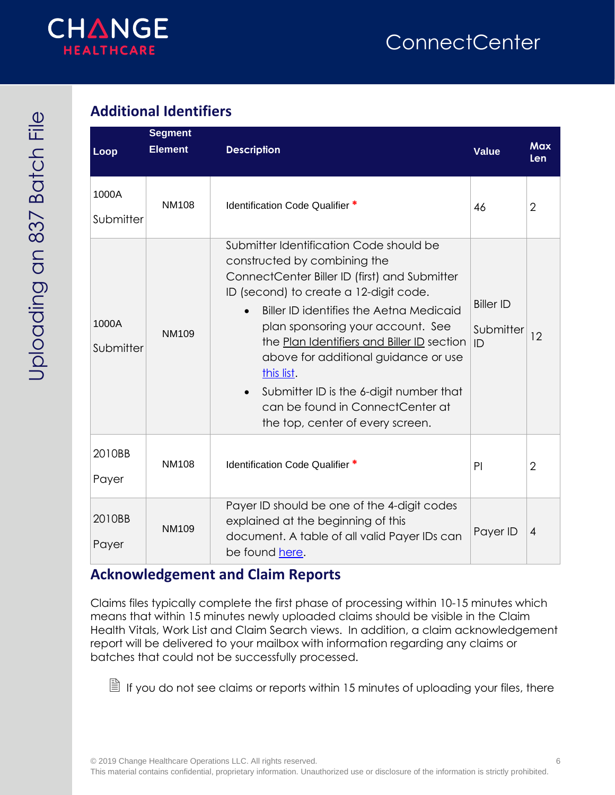

## <span id="page-5-0"></span>**Additional Identifiers**

| Loop               | <b>Segment</b><br><b>Element</b> | <b>Description</b>                                                                                                                                                                                                                                                                                                                                                                                                                                                        | <b>Value</b>                        | <b>Max</b><br><b>Len</b> |
|--------------------|----------------------------------|---------------------------------------------------------------------------------------------------------------------------------------------------------------------------------------------------------------------------------------------------------------------------------------------------------------------------------------------------------------------------------------------------------------------------------------------------------------------------|-------------------------------------|--------------------------|
| 1000A<br>Submitter | <b>NM108</b>                     | Identification Code Qualifier *                                                                                                                                                                                                                                                                                                                                                                                                                                           | 46                                  | $\overline{2}$           |
| 1000A<br>Submitter | <b>NM109</b>                     | Submitter Identification Code should be<br>constructed by combining the<br>ConnectCenter Biller ID (first) and Submitter<br>ID (second) to create a 12-digit code.<br>Biller ID identifies the Aetna Medicaid<br>plan sponsoring your account. See<br>the Plan Identifiers and Biller ID section<br>above for additional guidance or use<br>this list.<br>Submitter ID is the 6-digit number that<br>can be found in ConnectCenter at<br>the top, center of every screen. | <b>Biller ID</b><br>Submitter<br>ID | 12                       |
| 2010BB<br>Payer    | <b>NM108</b>                     | Identification Code Qualifier *                                                                                                                                                                                                                                                                                                                                                                                                                                           | PI                                  | $\overline{2}$           |
| 2010BB<br>Payer    | <b>NM109</b>                     | Payer ID should be one of the 4-digit codes<br>explained at the beginning of this<br>document. A table of all valid Payer IDs can<br>be found here.                                                                                                                                                                                                                                                                                                                       | Payer ID                            | $\overline{4}$           |

#### <span id="page-5-1"></span>**Acknowledgement and Claim Reports**

Claims files typically complete the first phase of processing within 10-15 minutes which means that within 15 minutes newly uploaded claims should be visible in the Claim Health Vitals, Work List and Claim Search views. In addition, a claim acknowledgement report will be delivered to your mailbox with information regarding any claims or batches that could not be successfully processed.

 $\Box$  If you do not see claims or reports within 15 minutes of uploading your files, there